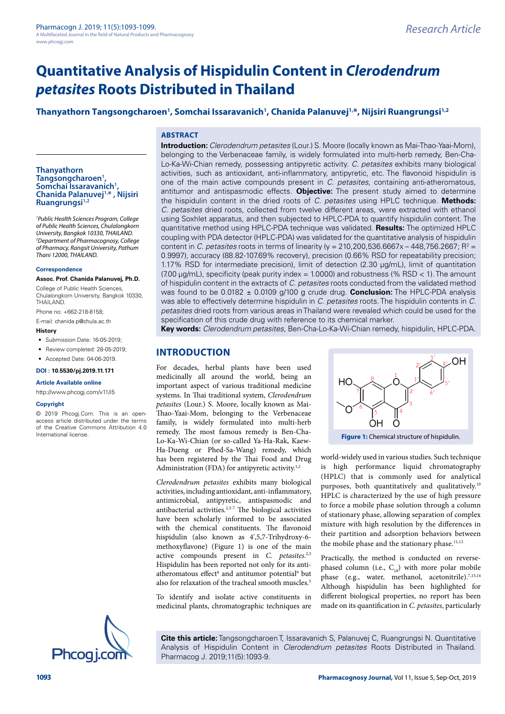# **Quantitative Analysis of Hispidulin Content in** *Clerodendrum petasites* **Roots Distributed in Thailand**

# **Thanyathorn Tangsongcharoen1 , Somchai Issaravanich1 , Chanida Palanuvej1,\*, Nijsiri Ruangrungsi1,2**

# **ABSTRACT**

**Introduction:** *Clerodendrum petasites* (Lour.) S. Moore (locally known as Mai-Thao-Yaai-Mom), belonging to the Verbenaceae family, is widely formulated into multi-herb remedy, Ben-Cha-Lo-Ka-Wi-Chian remedy, possessing antipyretic activity. *C. petasites* exhibits many biological activities, such as antioxidant, anti-inflammatory, antipyretic, etc. The flavonoid hispidulin is one of the main active compounds present in *C. petasites*, containing anti-atheromatous, antitumor and antispasmodic effects. **Objective:** The present study aimed to determine the hispidulin content in the dried roots of *C. petasites* using HPLC technique. **Methods:** *C. petasites* dried roots, collected from twelve different areas, were extracted with ethanol using Soxhlet apparatus, and then subjected to HPLC-PDA to quantify hispidulin content. The quantitative method using HPLC-PDA technique was validated. **Results:** The optimized HPLC coupling with PDA detector (HPLC-PDA) was validated for the quantitative analysis of hispidulin content in *C. petasites* roots in terms of linearity (y = 210,200,536.6667x – 448,756.2667; R<sup>2</sup> = 0.9997), accuracy (88.82-107.69% recovery), precision (0.66% RSD for repeatability precision; 1.17% RSD for intermediate precision), limit of detection (2.30 µg/mL), limit of quantitation  $(7.00 \,\mu g/mL)$ , specificity (peak purity index = 1.0000) and robustness (% RSD < 1). The amount of hispidulin content in the extracts of *C. petasites* roots conducted from the validated method was found to be 0.0182 ± 0.0109 g/100 g crude drug. **Conclusion:** The HPLC-PDA analysis was able to effectively determine hispidulin in *C. petasites* roots. The hispidulin contents in *C. petasites* dried roots from various areas in Thailand were revealed which could be used for the specification of this crude drug with reference to its chemical marker.

**Key words:** *Clerodendrum petasites*, Ben-Cha-Lo-Ka-Wi-Chian remedy, hispidulin, HPLC-PDA.

# **INTRODUCTION**

For decades, herbal plants have been used medicinally all around the world, being an important aspect of various traditional medicine systems. In Thai traditional system, *Clerodendrum petasites* (Lour.) S. Moore, locally known as Mai-Thao-Yaai-Mom, belonging to the Verbenaceae family, is widely formulated into multi-herb remedy. The most famous remedy is Ben-Cha-Lo-Ka-Wi-Chian (or so-called Ya-Ha-Rak, Kaew-Ha-Dueng or Phed-Sa-Wang) remedy, which has been registered by the Thai Food and Drug Administration (FDA) for antipyretic activity.<sup>1,2</sup> International license. **FIGURE 1: Chemical structure of hispidulin. Figure 1: Chemical structure of hispidulin.** 

> *Clerodendrum petasites* exhibits many biological activities, including antioxidant, anti-inflammatory, antimicrobial, antipyretic, antispasmodic and antibacterial activities. $2,3-7$  The biological activities have been scholarly informed to be associated with the chemical constituents. The flavonoid hispidulin (also known as 4',5,7-Trihydroxy-6 methoxyflavone) (Figure 1) is one of the main active compounds present in *C. petasites*. 2,5 Hispidulin has been reported not only for its antiatheromatous effect<sup>8</sup> and antitumor potential<sup>9</sup> but also for relaxation of the tracheal smooth muscles.<sup>5</sup>

> To identify and isolate active constituents in medicinal plants, chromatographic techniques are

HO ÒΗ O world-widely used in various studies. Such technique

OH

is high performance liquid chromatography (HPLC) that is commonly used for analytical purposes, both quantitatively and qualitatively.<sup>10</sup> HPLC is characterized by the use of high pressure to force a mobile phase solution through a column of stationary phase, allowing separation of complex mixture with high resolution by the differences in their partition and adsorption behaviors between the mobile phase and the stationary phase.<sup>11,12</sup>

Practically, the method is conducted on reversephased column (i.e.,  $C_{18}$ ) with more polar mobile phase (e.g., water, methanol, acetonitrile).<sup>7,13,14</sup> Although hispidulin has been highlighted for different biological properties, no report has been made on its quantification in *C. petasites*, particularly

**Cite this article:** Tangsongcharoen T, Issaravanich S, Palanuvej C, Ruangrungsi N. Quantitative



*1 Public Health Sciences Program, College of Public Health Sciences, Chulalongkorn University, Bangkok 10330, THAILAND. 2 Department of Pharmacognosy, College of Pharmacy, Rangsit University, Pathum Thani 12000, THAILAND.*

#### **Correspondence**

**Thanyathorn** 

**Assoc. Prof. Chanida Palanuvej, Ph.D.**

College of Public Health Sciences, Chulalongkorn University, Bangkok 10330, THAILAND.

Phone no: +662-218-8158;

E-mail: [chanida.p@chula.ac.th](mailto:chanida.p@chula.ac.th)

# **History**

- Submission Date: 16-05-2019:
- Review completed: 28-05-2019;

• Accepted Date: 04-06-2019.

#### **DOI : 10.5530/pj.2019.11.171**

**Article Available online** 

[http://www.phcogj.com/v11/i](http://www.phcogj.com/v11/i3)5

#### **Copyright**

© 2019 Phcogj.Com. This is an openaccess article distributed under the terms of the Creative Commons Attribution 4.0

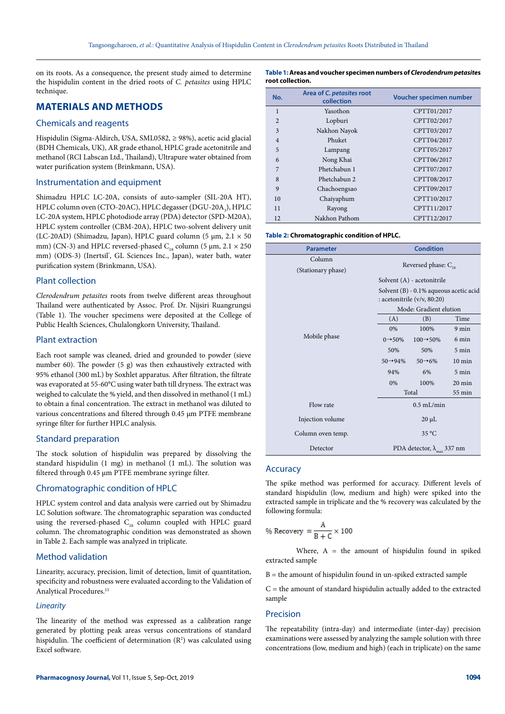on its roots. As a consequence, the present study aimed to determine the hispidulin content in the dried roots of *C. petasites* using HPLC technique.

# **MATERIALS AND METHODS**

# Chemicals and reagents

Hispidulin (Sigma-Aldirch, USA, SML0582, ≥ 98%), acetic acid glacial (BDH Chemicals, UK), AR grade ethanol, HPLC grade acetonitrile and methanol (RCI Labscan Ltd., Thailand), Ultrapure water obtained from water purification system (Brinkmann, USA).

### Instrumentation and equipment

Shimadzu HPLC LC-20A, consists of auto-sampler (SIL-20A HT), HPLC column oven (CTO-20AC), HPLC degasser (DGU-20A $_{3}$ ), HPLC LC-20A system, HPLC photodiode array (PDA) detector (SPD-M20A), HPLC system controller (CBM-20A), HPLC two-solvent delivery unit (LC-20AD) (Shimadzu, Japan), HPLC guard column (5 µm, 2.1 × 50 mm) (CN-3) and HPLC reversed-phased  $C_{18}$  column (5 µm, 2.1  $\times$  250 mm) (ODS-3) (Inertsil', GL Sciences Inc., Japan), water bath, water purification system (Brinkmann, USA).

# Plant collection

*Clerodendrum petasites* roots from twelve different areas throughout Thailand were authenticated by Assoc. Prof. Dr. Nijsiri Ruangrungsi (Table 1). The voucher specimens were deposited at the College of Public Health Sciences, Chulalongkorn University, Thailand.

# Plant extraction

Each root sample was cleaned, dried and grounded to powder (sieve number 60). The powder (5 g) was then exhaustively extracted with 95% ethanol (300 mL) by Soxhlet apparatus. After filtration, the filtrate was evaporated at 55-60°C using water bath till dryness. The extract was weighed to calculate the % yield, and then dissolved in methanol (1 mL) to obtain a final concentration. The extract in methanol was diluted to various concentrations and filtered through 0.45 µm PTFE membrane syringe filter for further HPLC analysis.

### Standard preparation

The stock solution of hispidulin was prepared by dissolving the standard hispidulin (1 mg) in methanol (1 mL). The solution was filtered through 0.45 µm PTFE membrane syringe filter.

# Chromatographic condition of HPLC

HPLC system control and data analysis were carried out by Shimadzu LC Solution software. The chromatographic separation was conducted using the reversed-phased  $C_{18}$  column coupled with HPLC guard column. The chromatographic condition was demonstrated as shown in Table 2. Each sample was analyzed in triplicate.

### Method validation

Linearity, accuracy, precision, limit of detection, limit of quantitation, specificity and robustness were evaluated according to the Validation of Analytical Procedures.15

### *Linearity*

The linearity of the method was expressed as a calibration range generated by plotting peak areas versus concentrations of standard hispidulin. The coefficient of determination  $(R^2)$  was calculated using Excel software.

| No.            | Area of C. petasites root<br>collection | Voucher specimen number |
|----------------|-----------------------------------------|-------------------------|
| 1              | Yasothon                                | CPTT01/2017             |
| $\mathfrak{D}$ | Lopburi                                 | CPTT02/2017             |
| 3              | Nakhon Nayok                            | CPTT03/2017             |
| 4              | Phuket                                  | CPTT04/2017             |
| 5              | Lampang                                 | CPTT05/2017             |
| 6              | Nong Khai                               | CPTT06/2017             |
| 7              | Phetchabun 1                            | CPTT07/2017             |
| 8              | Phetchabun 2                            | CPTT08/2017             |
| 9              | Chachoengsao                            | CPTT09/2017             |
| 10             | Chaiyaphum                              | CPTT10/2017             |
| 11             | Rayong                                  | CPTT11/2017             |
| 12             | Nakhon Pathom                           | CPTT12/2017             |

#### **Table 2: Chromatographic condition of HPLC.**

| <b>Parameter</b>             |                                                                       | <b>Condition</b>                            |                  |  |
|------------------------------|-----------------------------------------------------------------------|---------------------------------------------|------------------|--|
| Column<br>(Stationary phase) | Reversed phase: $C_{18}$                                              |                                             |                  |  |
|                              |                                                                       | Solvent (A) - acetonitrile                  |                  |  |
|                              | Solvent (B) - 0.1% aqueous acetic acid<br>: acetonitrile (v/v, 80:20) |                                             |                  |  |
|                              |                                                                       | Mode: Gradient elution                      |                  |  |
|                              | (A)                                                                   | (B)                                         | Time             |  |
|                              | $0\%$                                                                 | 100%                                        | 9 min            |  |
| Mobile phase                 | $0 \rightarrow 50\%$                                                  | $100 \rightarrow 50\%$                      | 6 min            |  |
|                              | 50%                                                                   | 50%                                         | 5 min            |  |
|                              | $50 \rightarrow 94\%$                                                 | $50 \rightarrow 6\%$                        | $10 \text{ min}$ |  |
|                              | 94%                                                                   | 6%                                          | 5 min            |  |
|                              | 0%                                                                    | 100%                                        | $20 \text{ min}$ |  |
|                              | Total                                                                 |                                             | 55 min           |  |
| Flow rate                    | $0.5$ mL/min                                                          |                                             |                  |  |
| Injection volume             | $20 \mu L$                                                            |                                             |                  |  |
| Column oven temp.            | 35 °C                                                                 |                                             |                  |  |
| Detector                     |                                                                       | PDA detector, $\lambda_{\text{max}}$ 337 nm |                  |  |

### Accuracy

The spike method was performed for accuracy. Different levels of standard hispidulin (low, medium and high) were spiked into the extracted sample in triplicate and the % recovery was calculated by the following formula:

% Recovery 
$$
=
$$
  $\frac{A}{B+C} \times 100$ 

Where,  $A =$  the amount of hispidulin found in spiked extracted sample

 $B =$  the amount of hispidulin found in un-spiked extracted sample

 $C =$  the amount of standard hispidulin actually added to the extracted sample

#### Precision

The repeatability (intra-day) and intermediate (inter-day) precision examinations were assessed by analyzing the sample solution with three concentrations (low, medium and high) (each in triplicate) on the same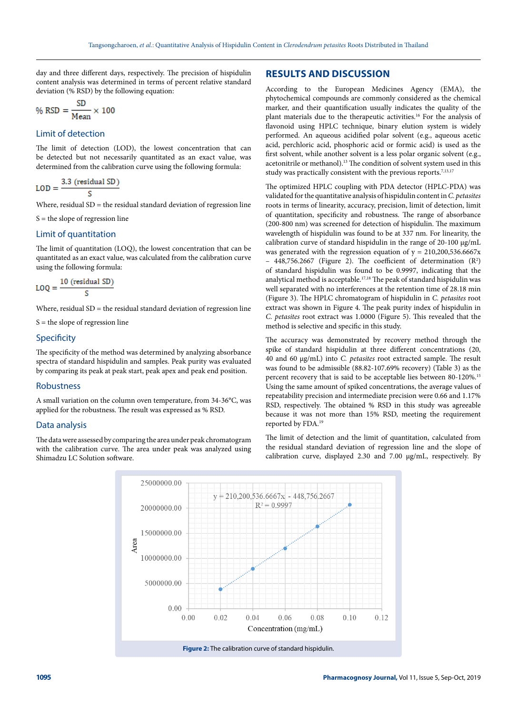day and three different days, respectively. The precision of hispidulin content analysis was determined in terms of percent relative standard deviation (% RSD) by the following equation:

$$
\% RSD = \frac{SD}{Mean} \times 100
$$

# Limit of detection

The limit of detection (LOD), the lowest concentration that can be detected but not necessarily quantitated as an exact value, was determined from the calibration curve using the following formula:

$$
LOD = \frac{3.3 \text{ (residual SD)}}{S}
$$

Where, residual  $SD =$  the residual standard deviation of regression line

 $S =$  the slope of regression line

# Limit of quantitation

The limit of quantitation (LOQ), the lowest concentration that can be quantitated as an exact value, was calculated from the calibration curve using the following formula:

$$
LOQ = \frac{10 \text{ (residual SD)}}{S}
$$

Where, residual  $SD =$  the residual standard deviation of regression line

 $S =$  the slope of regression line

# **Specificity**

The specificity of the method was determined by analyzing absorbance spectra of standard hispidulin and samples. Peak purity was evaluated by comparing its peak at peak start, peak apex and peak end position.

# Robustness

A small variation on the column oven temperature, from 34-36°C, was applied for the robustness. The result was expressed as % RSD.

### Data analysis

The data were assessed by comparing the area under peak chromatogram with the calibration curve. The area under peak was analyzed using Shimadzu LC Solution software.

# **RESULTS AND DISCUSSION**

According to the European Medicines Agency (EMA), the phytochemical compounds are commonly considered as the chemical marker, and their quantification usually indicates the quality of the plant materials due to the therapeutic activities.16 For the analysis of flavonoid using HPLC technique, binary elution system is widely performed. An aqueous acidified polar solvent (e.g., aqueous acetic acid, perchloric acid, phosphoric acid or formic acid) is used as the first solvent, while another solvent is a less polar organic solvent (e.g., acetonitrile or methanol).13 The condition of solvent system used in this study was practically consistent with the previous reports.<sup>7,13,17</sup>

The optimized HPLC coupling with PDA detector (HPLC-PDA) was validated for the quantitative analysis of hispidulin content in *C. petasites* roots in terms of linearity, accuracy, precision, limit of detection, limit of quantitation, specificity and robustness. The range of absorbance (200-800 nm) was screened for detection of hispidulin. The maximum wavelength of hispidulin was found to be at 337 nm. For linearity, the calibration curve of standard hispidulin in the range of 20-100 µg/mL was generated with the regression equation of  $y = 210,200,536.6667x$  $-448,756.2667$  (Figure 2). The coefficient of determination  $(R^2)$ of standard hispidulin was found to be 0.9997, indicating that the analytical method is acceptable.17,18 The peak of standard hispidulin was well separated with no interferences at the retention time of 28.18 min (Figure 3). The HPLC chromatogram of hispidulin in *C. petasites* root extract was shown in Figure 4. The peak purity index of hispidulin in *C. petasites* root extract was 1.0000 (Figure 5). This revealed that the method is selective and specific in this study.

The accuracy was demonstrated by recovery method through the spike of standard hispidulin at three different concentrations (20, 40 and 60 µg/mL) into *C. petasites* root extracted sample. The result was found to be admissible (88.82-107.69% recovery) (Table 3) as the percent recovery that is said to be acceptable lies between 80-120%.15 Using the same amount of spiked concentrations, the average values of repeatability precision and intermediate precision were 0.66 and 1.17% RSD, respectively. The obtained % RSD in this study was agreeable because it was not more than 15% RSD, meeting the requirement reported by FDA.19

The limit of detection and the limit of quantitation, calculated from the residual standard deviation of regression line and the slope of calibration curve, displayed 2.30 and 7.00 µg/mL, respectively. By

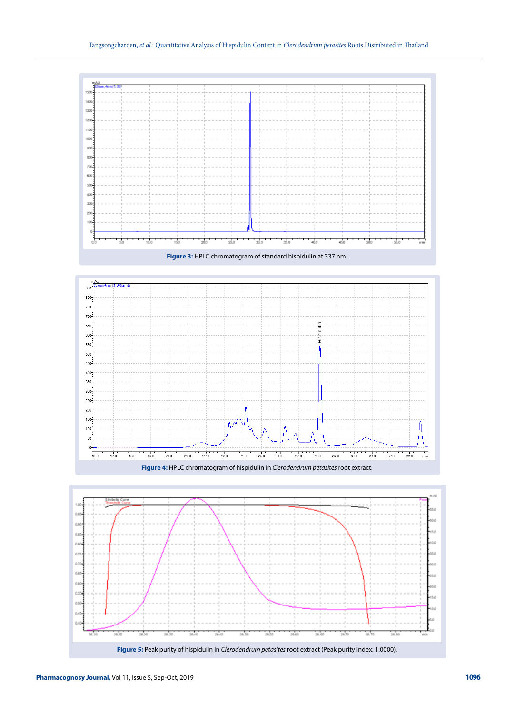

**Figure 3:** HPLC chromatogram of standard hispidulin at 337 nm.



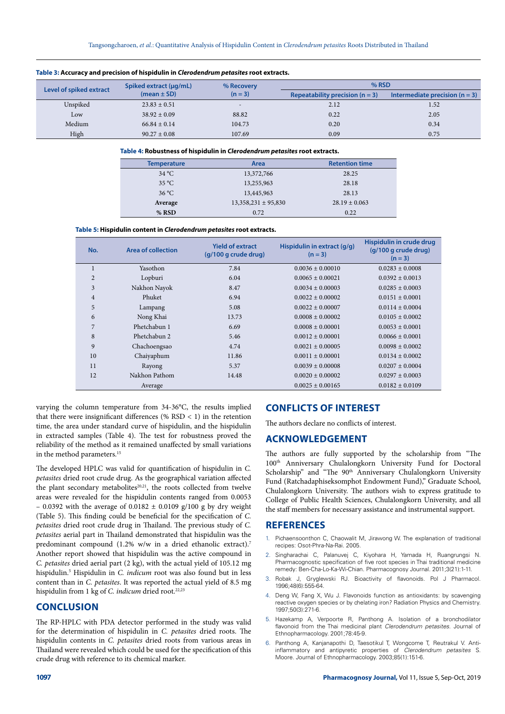|                         | Spiked extract (µg/mL) | % Recovery               | $%$ RSD                           |                                  |
|-------------------------|------------------------|--------------------------|-----------------------------------|----------------------------------|
| Level of spiked extract | $(mean \pm SD)$        | $(n = 3)$                | Repeatability precision $(n = 3)$ | Intermediate precision $(n = 3)$ |
| Unspiked                | $23.83 \pm 0.51$       | $\overline{\phantom{a}}$ | 2.12                              | 1.52                             |
| Low                     | $38.92 \pm 0.09$       | 88.82                    | 0.22                              | 2.05                             |
| Medium                  | $66.84 \pm 0.14$       | 104.73                   | 0.20                              | 0.34                             |
| High                    | $90.27 \pm 0.08$       | 107.69                   | 0.09                              | 0.75                             |

### **Table 3: Accuracy and precision of hispidulin in** *Clerodendrum petasites* **root extracts.**

#### **Table 4: Robustness of hispidulin in** *Clerodendrum petasites* **root extracts.**

| <b>Temperature</b> | Area                    | <b>Retention time</b> |
|--------------------|-------------------------|-----------------------|
| $34^{\circ}$ C     | 13,372,766              | 28.25                 |
| $35^{\circ}$ C     | 13,255,963              | 28.18                 |
| $36^{\circ}$ C     | 13,445,963              | 28.13                 |
| Average            | $13,358,231 \pm 95,830$ | $28.19 \pm 0.063$     |
| % RSD              | 0.72                    | 0.22                  |

**Table 5: Hispidulin content in** *Clerodendrum petasites* **root extracts.**

| No.            | Area of collection | <b>Yield of extract</b><br>(g/100 g crude drug) | Hispidulin in extract (g/g)<br>$(n = 3)$ | Hispidulin in crude drug<br>(g/100 g crude drug)<br>$(n = 3)$ |
|----------------|--------------------|-------------------------------------------------|------------------------------------------|---------------------------------------------------------------|
| 1              | Yasothon           | 7.84                                            | $0.0036 \pm 0.00010$                     | $0.0283 \pm 0.0008$                                           |
| $\overline{2}$ | Lopburi            | 6.04                                            | $0.0065 \pm 0.00021$                     | $0.0392 + 0.0013$                                             |
| 3              | Nakhon Nayok       | 8.47                                            | $0.0034 \pm 0.00003$                     | $0.0285 \pm 0.0003$                                           |
| $\overline{4}$ | Phuket             | 6.94                                            | $0.0022 + 0.00002$                       | $0.0151 + 0.0001$                                             |
| 5              | Lampang            | 5.08                                            | $0.0022 \pm 0.00007$                     | $0.0114 \pm 0.0004$                                           |
| 6              | Nong Khai          | 13.73                                           | $0.0008 + 0.00002$                       | $0.0105 \pm 0.0002$                                           |
| 7              | Phetchabun 1       | 6.69                                            | $0.0008 \pm 0.00001$                     | $0.0053 + 0.0001$                                             |
| 8              | Phetchabun 2       | 5.46                                            | $0.0012 \pm 0.00001$                     | $0.0066 \pm 0.0001$                                           |
| 9              | Chachoengsao       | 4.74                                            | $0.0021 + 0.00005$                       | $0.0098 + 0.0002$                                             |
| 10             | Chaiyaphum         | 11.86                                           | $0.0011 \pm 0.00001$                     | $0.0134 + 0.0002$                                             |
| 11             | Rayong             | 5.37                                            | $0.0039 + 0.00008$                       | $0.0207 + 0.0004$                                             |
| 12             | Nakhon Pathom      | 14.48                                           | $0.0020 + 0.00002$                       | $0.0297 + 0.0003$                                             |
|                | Average            |                                                 | $0.0025 \pm 0.00165$                     | $0.0182 \pm 0.0109$                                           |

varying the column temperature from 34-36°C, the results implied that there were insignificant differences (%  $RSD < 1$ ) in the retention time, the area under standard curve of hispidulin, and the hispidulin in extracted samples (Table 4). The test for robustness proved the reliability of the method as it remained unaffected by small variations in the method parameters.<sup>15</sup>

The developed HPLC was valid for quantification of hispidulin in *C. petasites* dried root crude drug. As the geographical variation affected the plant secondary metabolites<sup>20,21</sup>, the roots collected from twelve areas were revealed for the hispidulin contents ranged from 0.0053 – 0.0392 with the average of 0.0182  $\pm$  0.0109 g/100 g by dry weight (Table 5). This finding could be beneficial for the specification of *C. petasites* dried root crude drug in Thailand. The previous study of *C. petasites* aerial part in Thailand demonstrated that hispidulin was the predominant compound (1.2% w/w in a dried ethanolic extract).7 Another report showed that hispidulin was the active compound in *C. petasites* dried aerial part (2 kg), with the actual yield of 105.12 mg hispidulin.<sup>5</sup> Hispidulin in *C. indicum* root was also found but in less content than in *C. petasites*. It was reported the actual yield of 8.5 mg hispidulin from 1 kg of *C. indicum* dried root.<sup>22,23</sup>

# **CONCLUSION**

The RP-HPLC with PDA detector performed in the study was valid for the determination of hispidulin in *C. petasites* dried roots. The hispidulin contents in *C. petasites* dried roots from various areas in Thailand were revealed which could be used for the specification of this crude drug with reference to its chemical marker.

# **CONFLICTS OF INTEREST**

The authors declare no conflicts of interest.

# **ACKNOWLEDGEMENT**

The authors are fully supported by the scholarship from "The 100th Anniversary Chulalongkorn University Fund for Doctoral Scholarship" and "The 90<sup>th</sup> Anniversary Chulalongkorn University Fund (Ratchadaphiseksomphot Endowment Fund)," Graduate School, Chulalongkorn University. The authors wish to express gratitude to College of Public Health Sciences, Chulalongkorn University, and all the staff members for necessary assistance and instrumental support.

### **REFERENCES**

- 1. Pichaensoonthon C, Chaowalit M, Jirawong W. The explanation of traditional recipes: Osot-Phra-Na-Rai. 2005.
- 2. Singharachai C, Palanuvej C, Kiyohara H, Yamada H, Ruangrungsi N. Pharmacognostic specification of five root species in Thai traditional medicine remedy: Ben-Cha-Lo-Ka-Wi-Chian. Pharmacognosy Journal. 2011;3(21):1-11.
- 3. Robak J, Gryglewski RJ. Bioactivity of flavonoids. Pol J Pharmacol. 1996;48(6):555-64.
- 4. Deng W, Fang X, Wu J. Flavonoids function as antioxidants: by scavenging reactive oxygen species or by chelating iron? Radiation Physics and Chemistry. 1997;50(3):271-6.
- 5. Hazekamp A, Verpoorte R, Panthong A. Isolation of a bronchodilator flavonoid from the Thai medicinal plant *Clerodendrum petasites*. Journal of Ethnopharmacology. 2001;78:45-9.
- 6. Panthong A, Kanjanapothi D, Taesotikul T, Wongcome T, Reutrakul V. Antiinflammatory and antipyretic properties of *Clerodendrum petasites* S. Moore. Journal of Ethnopharmacology. 2003;85(1):151-6.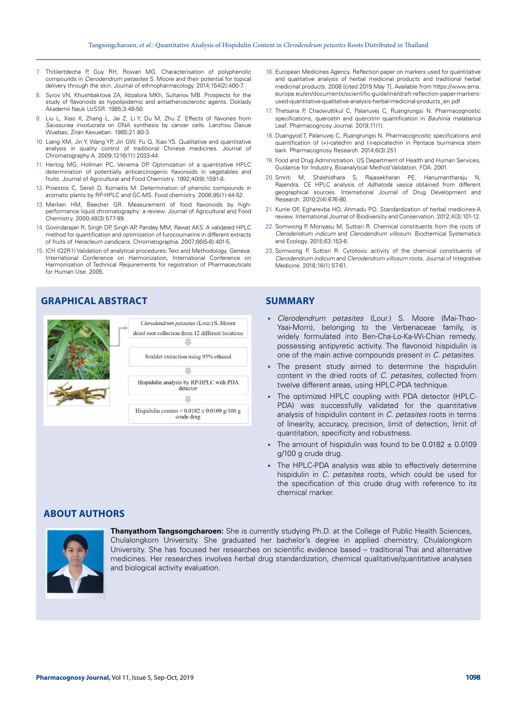- 7. Thitilertdecha P, Guy RH, Rowan MG. Characterisation of polyphenolic compounds in *Clerodendrum petasites* S. Moore and their potential for topical delivery through the skin. Journal of ethnopharmacology. 2014;154(2):400-7.
- Syrov VN, Khushbaktova ZA, Abzalora MKh, Sultanov MB. Prospects for the study of flavonoids as hypolipidemic and antiatherosclerotic agents. Doklady Akademii Nauk UzSSR. 1985;3:48-50.
- Liu L, Xiao X, Zhang L, Jai Z, Li Y, Du M, Zhu Z. Effects of flavones from *Saussurea involucrata* on DNA synthesis by cancer cells. Lanzhou Daxue Wuebao, Ziran Kexueban. 1985;21:80-3.
- 10. Liang XM, Jin Y, Wang YP, Jin GW, Fu Q, Xiao YS. Qualitative and quantitative analysis in quality control of traditional Chinese medicines. Journal of Chromatography A. 2009;1216(11):2033-44.
- 11. Hertog MG, Hollman PC, Venema DP. Optimization of a quantitative HPLC determination of potentially anticarcinogenic flavonoids in vegetables and fruits. Journal of Agricultural and Food Chemistry. 1992;40(9):1591-8.
- 12. Proestos C, Sereli D, Komaitis M. Determination of phenolic compounds in aromatic plants by RP-HPLC and GC-MS. Food chemistry. 2006;95(1):44-52.
- 13. Merken HM, Beecher GR. Measurement of food flavonoids by highperformance liquid chromatography: a review. Journal of Agricultural and Food Chemistry. 2000;48(3):577-99.
- 14. Govindarajan R, Singh DP, Singh AP, Pandey MM, Rawat AKS. A validated HPLC method for quantification and optimization of furocoumarins in different extracts of fruits of *Heracleum candicans*. Chromatographia. 2007;66(5-6):401-5.
- 15. ICH (Q2R1) Validation of analytical procedures: Text and Methodology. Geneva: International Conference on Harmonization, International Conference on Harmonization of Technical Requirements for registration of Pharmaceuticals for Human Use. 2005.

# **GRAPHICAL ABSTRACT**



- 16. European Medicines Agency. Reflection paper on markers used for quantitative and qualitative analysis of herbal medicinal products and traditional herbal medicinal products. 2008 [cited 2019 May 7]. Available from https://www.ema. europa.eu/en/documents/scientific-guideline/draft-reflection-paper-markersused-quantitative-qualitative-analysis-herbal-medicinal-products\_en.pdf
- 17. Thetsana P, Chaowuttikul C, Palanuvej C, Ruangrungsi N. Pharmacognostic specifications, quercetin and quercitrin quantification in *Bauhinia malabarica* Leaf. Pharmacognosy Journal. 2019;11(1).
- 18. Duangyod T, Palanuvej C, Ruangrungsi N. Pharmacognostic specifications and quantification of (+)-catechin and (-)-epicatechin in Pentace burmanica stem bark. Pharmacognosy Research. 2014;6(3):251.
- 19. Food and Drug Administration. US Department of Health and Human Services, Guidance for Industry, Bioanalytical Method Validation, FDA. 2001.
- 20. Smriti M, Shashidhara S, Rajasekharan PE, Hanumantharaju N, Rajendra. CE HPLC analysis of *Adhatoda vasica* obtained from different geographical sources. International Journal of Drug Development and Research. 2010;2(4):676-80.
- 21. Kunle OF, Egharevba HO, Ahmadu PO. Standardization of herbal medicines-A review. International Journal of Biodiversity and Conservation. 2012;4(3):101-12.
- 22. Somwong P, Moriyasu M, Suttisri R. Chemical constituents from the roots of *Clerodendrum indicum* and *Clerodendrum villosum*. Biochemical Systematics and Ecology. 2015;63:153-6.
- 23. Somwong P, Suttisri R. Cytotoxic activity of the chemical constituents of *Clerodendrum indicum* and *Clerodendrum villosum* roots*.* Journal of Integrative Medicine. 2018;16(1):57-61.

# **SUMMARY**

- *Clerodendrum petasites* (Lour.) S. Moore (Mai-Thao-Yaai-Mom), belonging to the Verbenaceae family, is widely formulated into Ben-Cha-Lo-Ka-Wi-Chian remedy, possessing antipyretic activity. The flavonoid hispidulin is one of the main active compounds present in *C. petasites*.
- The present study aimed to determine the hispidulin content in the dried roots of *C. petasites*, collected from twelve different areas, using HPLC-PDA technique.
- The optimized HPLC coupling with PDA detector (HPLC-PDA) was successfully validated for the quantitative analysis of hispidulin content in *C. petasites* roots in terms of linearity, accuracy, precision, limit of detection, limit of quantitation, specificity and robustness.
- The amount of hispidulin was found to be 0.0182  $\pm$  0.0109 g/100 g crude drug.
- The HPLC-PDA analysis was able to effectively determine hispidulin in *C. petasites* roots, which could be used for the specification of this crude drug with reference to its chemical marker.

# **ABOUT AUTHORS**



**Thanyathorn Tangsongcharoen:** She is currently studying Ph.D. at the College of Public Health Sciences, Chulalongkorn University. She graduated her bachelor's degree in applied chemistry, Chulalongkorn University. She has focused her researches on scientific evidence based – traditional Thai and alternative medicines. Her researches involves herbal drug standardization, chemical qualitative/quantitative analyses and biological activity evaluation.